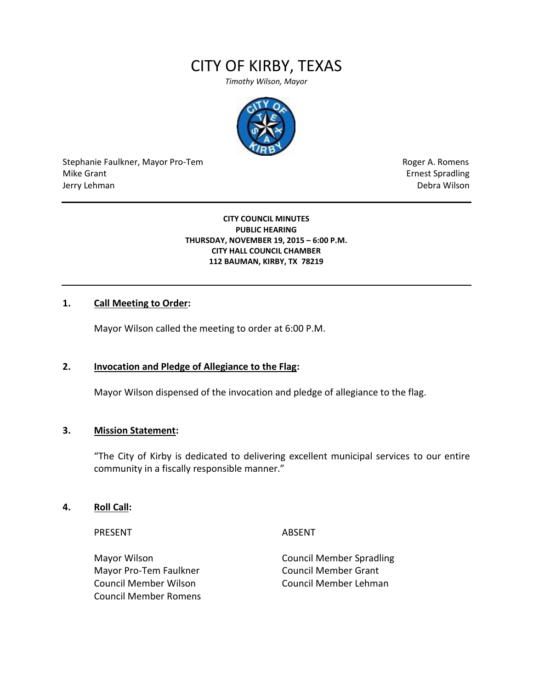# CITY OF KIRBY, TEXAS

*Timothy Wilson, Mayor*



Stephanie Faulkner, Mayor Pro-Tem **Roger A. Romens** Roger A. Romens Mike Grant **Example 2018** Spradling School and Spradling School and Spradling School and Spradling School and Spradling School and Spradling School and Spradling School and Spradling School and Spradling School and Spradli Jerry Lehman Debra Wilson

#### **CITY COUNCIL MINUTES PUBLIC HEARING THURSDAY, NOVEMBER 19, 2015 – 6:00 P.M. CITY HALL COUNCIL CHAMBER 112 BAUMAN, KIRBY, TX 78219**

## **1. Call Meeting to Order:**

Mayor Wilson called the meeting to order at 6:00 P.M.

## **2. Invocation and Pledge of Allegiance to the Flag:**

Mayor Wilson dispensed of the invocation and pledge of allegiance to the flag.

## **3. Mission Statement:**

"The City of Kirby is dedicated to delivering excellent municipal services to our entire community in a fiscally responsible manner."

## **4. Roll Call:**

PRESENT ABSENT

Mayor Pro-Tem Faulkner Council Member Grant Council Member Wilson Council Member Lehman Council Member Romens

Mayor Wilson Council Member Spradling